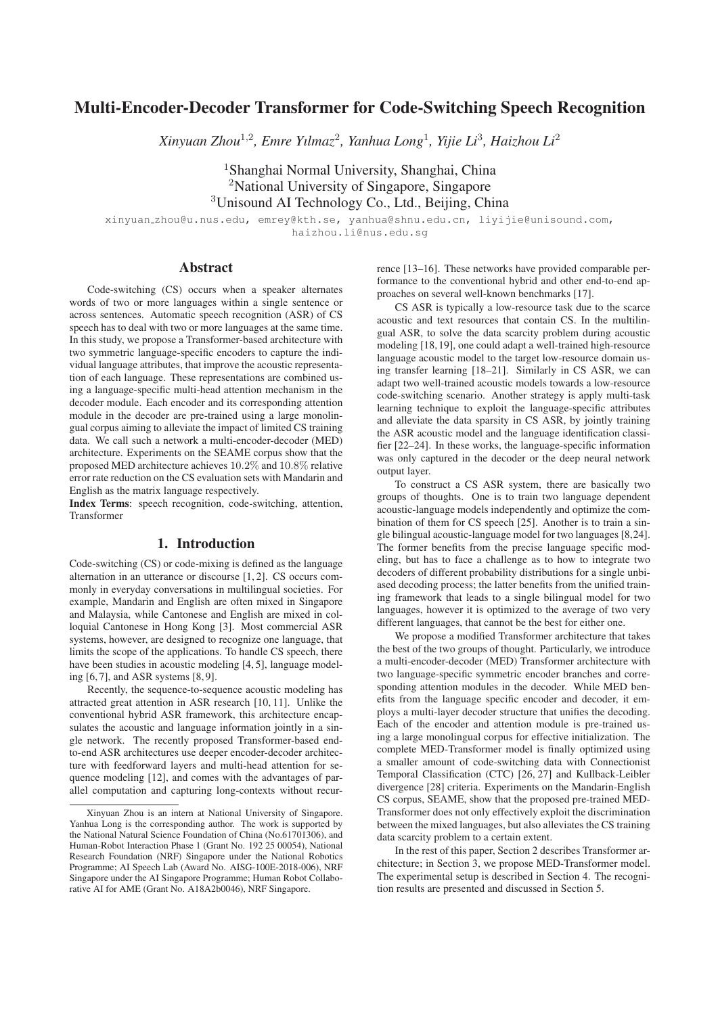# Multi-Encoder-Decoder Transformer for Code-Switching Speech Recognition

*Xinyuan Zhou*<sup>1</sup>,<sup>2</sup>*, Emre Yılmaz*<sup>2</sup>*, Yanhua Long*<sup>1</sup>*, Yijie Li*<sup>3</sup>*, Haizhou Li*<sup>2</sup>

<sup>1</sup>Shanghai Normal University, Shanghai, China <sup>2</sup>National University of Singapore, Singapore <sup>3</sup>Unisound AI Technology Co., Ltd., Beijing, China

xinyuan zhou@u.nus.edu, emrey@kth.se, yanhua@shnu.edu.cn, liyijie@unisound.com, haizhou.li@nus.edu.sg

## Abstract

Code-switching (CS) occurs when a speaker alternates words of two or more languages within a single sentence or across sentences. Automatic speech recognition (ASR) of CS speech has to deal with two or more languages at the same time. In this study, we propose a Transformer-based architecture with two symmetric language-specific encoders to capture the individual language attributes, that improve the acoustic representation of each language. These representations are combined using a language-specific multi-head attention mechanism in the decoder module. Each encoder and its corresponding attention module in the decoder are pre-trained using a large monolingual corpus aiming to alleviate the impact of limited CS training data. We call such a network a multi-encoder-decoder (MED) architecture. Experiments on the SEAME corpus show that the proposed MED architecture achieves 10.2% and 10.8% relative error rate reduction on the CS evaluation sets with Mandarin and English as the matrix language respectively.

Index Terms: speech recognition, code-switching, attention, Transformer

#### 1. Introduction

Code-switching (CS) or code-mixing is defined as the language alternation in an utterance or discourse [1, 2]. CS occurs commonly in everyday conversations in multilingual societies. For example, Mandarin and English are often mixed in Singapore and Malaysia, while Cantonese and English are mixed in colloquial Cantonese in Hong Kong [3]. Most commercial ASR systems, however, are designed to recognize one language, that limits the scope of the applications. To handle CS speech, there have been studies in acoustic modeling [4, 5], language modeling [6, 7], and ASR systems [8, 9].

Recently, the sequence-to-sequence acoustic modeling has attracted great attention in ASR research [10, 11]. Unlike the conventional hybrid ASR framework, this architecture encapsulates the acoustic and language information jointly in a single network. The recently proposed Transformer-based endto-end ASR architectures use deeper encoder-decoder architecture with feedforward layers and multi-head attention for sequence modeling [12], and comes with the advantages of parallel computation and capturing long-contexts without recurrence [13–16]. These networks have provided comparable performance to the conventional hybrid and other end-to-end approaches on several well-known benchmarks [17].

CS ASR is typically a low-resource task due to the scarce acoustic and text resources that contain CS. In the multilingual ASR, to solve the data scarcity problem during acoustic modeling [18, 19], one could adapt a well-trained high-resource language acoustic model to the target low-resource domain using transfer learning [18–21]. Similarly in CS ASR, we can adapt two well-trained acoustic models towards a low-resource code-switching scenario. Another strategy is apply multi-task learning technique to exploit the language-specific attributes and alleviate the data sparsity in CS ASR, by jointly training the ASR acoustic model and the language identification classifier [22–24]. In these works, the language-specific information was only captured in the decoder or the deep neural network output layer.

To construct a CS ASR system, there are basically two groups of thoughts. One is to train two language dependent acoustic-language models independently and optimize the combination of them for CS speech [25]. Another is to train a single bilingual acoustic-language model for two languages [8,24]. The former benefits from the precise language specific modeling, but has to face a challenge as to how to integrate two decoders of different probability distributions for a single unbiased decoding process; the latter benefits from the unified training framework that leads to a single bilingual model for two languages, however it is optimized to the average of two very different languages, that cannot be the best for either one.

We propose a modified Transformer architecture that takes the best of the two groups of thought. Particularly, we introduce a multi-encoder-decoder (MED) Transformer architecture with two language-specific symmetric encoder branches and corresponding attention modules in the decoder. While MED benefits from the language specific encoder and decoder, it employs a multi-layer decoder structure that unifies the decoding. Each of the encoder and attention module is pre-trained using a large monolingual corpus for effective initialization. The complete MED-Transformer model is finally optimized using a smaller amount of code-switching data with Connectionist Temporal Classification (CTC) [26, 27] and Kullback-Leibler divergence [28] criteria. Experiments on the Mandarin-English CS corpus, SEAME, show that the proposed pre-trained MED-Transformer does not only effectively exploit the discrimination between the mixed languages, but also alleviates the CS training data scarcity problem to a certain extent.

In the rest of this paper, Section 2 describes Transformer architecture; in Section 3, we propose MED-Transformer model. The experimental setup is described in Section 4. The recognition results are presented and discussed in Section 5.

Xinyuan Zhou is an intern at National University of Singapore. Yanhua Long is the corresponding author. The work is supported by the National Natural Science Foundation of China (No.61701306), and Human-Robot Interaction Phase 1 (Grant No. 192 25 00054), National Research Foundation (NRF) Singapore under the National Robotics Programme; AI Speech Lab (Award No. AISG-100E-2018-006), NRF Singapore under the AI Singapore Programme; Human Robot Collaborative AI for AME (Grant No. A18A2b0046), NRF Singapore.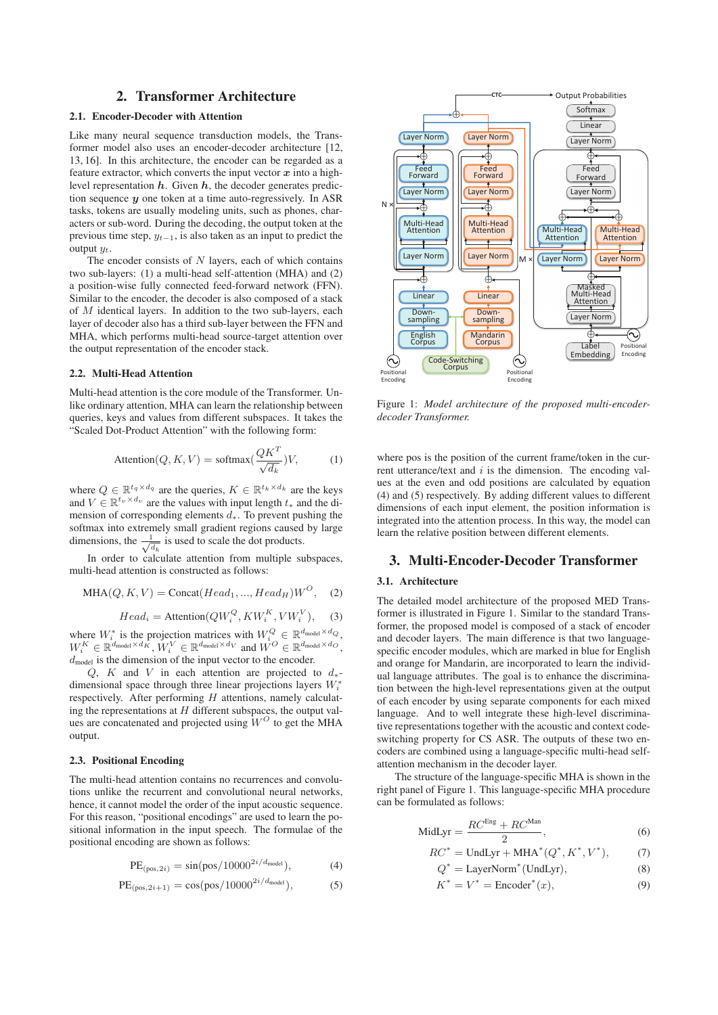## 2. Transformer Architecture

## 2.1. Encoder-Decoder with Attention

Like many neural sequence transduction models, the Transformer model also uses an encoder-decoder architecture [12, 13, 16]. In this architecture, the encoder can be regarded as a feature extractor, which converts the input vector  $x$  into a highlevel representation *h*. Given *h*, the decoder generates prediction sequence *y* one token at a time auto-regressively. In ASR tasks, tokens are usually modeling units, such as phones, characters or sub-word. During the decoding, the output token at the previous time step,  $y_{t-1}$ , is also taken as an input to predict the output  $u_t$ .

The encoder consists of  $N$  layers, each of which contains two sub-layers: (1) a multi-head self-attention (MHA) and (2) a position-wise fully connected feed-forward network (FFN). Similar to the encoder, the decoder is also composed of a stack of  $M$  identical layers. In addition to the two sub-layers, each layer of decoder also has a third sub-layer between the FFN and MHA, which performs multi-head source-target attention over the output representation of the encoder stack.

### 2.2. Multi-Head Attention

Multi-head attention is the core module of the Transformer. Unlike ordinary attention, MHA can learn the relationship between queries, keys and values from different subspaces. It takes the "Scaled Dot-Product Attention" with the following form:

$$
Attention(Q, K, V) = softmax(\frac{QK^{T}}{\sqrt{d_k}})V,
$$
 (1)

where  $Q \in \mathbb{R}^{t_q \times d_q}$  are the queries,  $K \in \mathbb{R}^{t_k \times d_k}$  are the keys and  $V \in \mathbb{R}^{t_v \times d_v}$  are the values with input length  $t_*$  and the dimension of corresponding elements  $d_*$ . To prevent pushing the softmax into extremely small gradient regions caused by large dimensions, the  $\frac{1}{\sqrt{d_k}}$  is used to scale the dot products.

In order to calculate attention from multiple subspaces, multi-head attention is constructed as follows:

$$
MHA(Q, K, V) = \text{Concat}(Head_1, ..., Head_H)W^O, \quad (2)
$$

$$
Head_i = \text{Attention}(QW_i^Q, KW_i^K, VW_i^V), \quad (3)
$$

where  $W_i^*$  is the projection matrices with  $W_i^Q \in \mathbb{R}^{d_{\text{model}} \times d_Q}$ ,<br>  $W_i^K \in \mathbb{R}^{d_{\text{model}} \times d_K}$ ,  $W_i^V \in \mathbb{R}^{d_{\text{model}} \times d_V}$  and  $W^O \in \mathbb{R}^{d_{\text{model}} \times d_Q}$ ,  $d_{\text{model}}$  is the dimension of the input vector to the encoder.

Q, K and V in each attention are projected to  $d_*$ dimensional space through three linear projections layers  $W_i^*$ respectively. After performing  $H$  attentions, namely calculating the representations at  $H$  different subspaces, the output values are concatenated and projected using  $W^O$  to get the MHA output.

#### 2.3. Positional Encoding

The multi-head attention contains no recurrences and convolutions unlike the recurrent and convolutional neural networks, hence, it cannot model the order of the input acoustic sequence. For this reason, "positional encodings" are used to learn the positional information in the input speech. The formulae of the positional encoding are shown as follows:

PE(pos,2i) <sup>=</sup> sin(pos/10000<sup>2</sup>i/dmodel), (4)

PE(pos,2i+1) <sup>=</sup> cos(pos/10000<sup>2</sup>i/dmodel), (5)



Figure 1: *Model architecture of the proposed multi-encoderdecoder Transformer.*

where pos is the position of the current frame/token in the current utterance/text and  $i$  is the dimension. The encoding values at the even and odd positions are calculated by equation (4) and (5) respectively. By adding different values to different dimensions of each input element, the position information is integrated into the attention process. In this way, the model can learn the relative position between different elements.

### 3. Multi-Encoder-Decoder Transformer

#### 3.1. Architecture

The detailed model architecture of the proposed MED Transformer is illustrated in Figure 1. Similar to the standard Transformer, the proposed model is composed of a stack of encoder and decoder layers. The main difference is that two languagespecific encoder modules, which are marked in blue for English and orange for Mandarin, are incorporated to learn the individual language attributes. The goal is to enhance the discrimination between the high-level representations given at the output of each encoder by using separate components for each mixed language. And to well integrate these high-level discriminative representations together with the acoustic and context codeswitching property for CS ASR. The outputs of these two encoders are combined using a language-specific multi-head selfattention mechanism in the decoder layer.

The structure of the language-specific MHA is shown in the right panel of Figure 1. This language-specific MHA procedure can be formulated as follows:

$$
MidLyr = \frac{RC^{Eng} + RC^{Man}}{2},
$$
\n(6)

$$
RC^* = \text{UndLyr} + \text{MHA}^*(Q^*, K^*, V^*),\tag{7}
$$

$$
Q^* = \text{LayerNorm}^*(\text{UndLyr}),\tag{8}
$$

$$
K^* = V^* = \text{Encoder}^*(x),\tag{9}
$$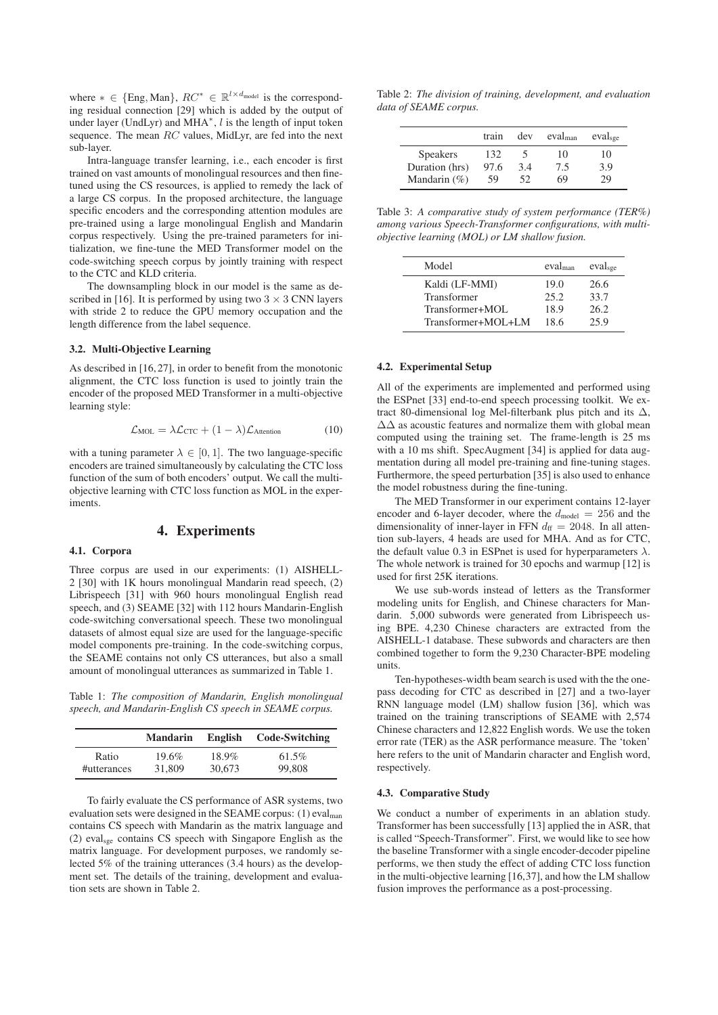where  $* \in \{Eng, Man\}, RC^* \in \mathbb{R}^{l \times d_{model}}$  is the corresponding residual connection [29] which is added by the output of under layer (UndLyr) and MHA∗, l is the length of input token sequence. The mean  $RC$  values, MidLyr, are fed into the next sub-layer.

Intra-language transfer learning, i.e., each encoder is first trained on vast amounts of monolingual resources and then finetuned using the CS resources, is applied to remedy the lack of a large CS corpus. In the proposed architecture, the language specific encoders and the corresponding attention modules are pre-trained using a large monolingual English and Mandarin corpus respectively. Using the pre-trained parameters for initialization, we fine-tune the MED Transformer model on the code-switching speech corpus by jointly training with respect to the CTC and KLD criteria.

The downsampling block in our model is the same as described in [16]. It is performed by using two  $3 \times 3$  CNN layers with stride 2 to reduce the GPU memory occupation and the length difference from the label sequence.

## 3.2. Multi-Objective Learning

As described in [16, 27], in order to benefit from the monotonic alignment, the CTC loss function is used to jointly train the encoder of the proposed MED Transformer in a multi-objective learning style:

$$
\mathcal{L}_{\text{MOL}} = \lambda \mathcal{L}_{\text{CTC}} + (1 - \lambda) \mathcal{L}_{\text{Attention}} \tag{10}
$$

with a tuning parameter  $\lambda \in [0, 1]$ . The two language-specific encoders are trained simultaneously by calculating the CTC loss function of the sum of both encoders' output. We call the multiobjective learning with CTC loss function as MOL in the experiments.

## 4. Experiments

### 4.1. Corpora

Three corpus are used in our experiments: (1) AISHELL-2 [30] with 1K hours monolingual Mandarin read speech, (2) Librispeech [31] with 960 hours monolingual English read speech, and (3) SEAME [32] with 112 hours Mandarin-English code-switching conversational speech. These two monolingual datasets of almost equal size are used for the language-specific model components pre-training. In the code-switching corpus, the SEAME contains not only CS utterances, but also a small amount of monolingual utterances as summarized in Table 1.

Table 1: *The composition of Mandarin, English monolingual speech, and Mandarin-English CS speech in SEAME corpus.*

|             | <b>Mandarin</b> | English | Code-Switching |
|-------------|-----------------|---------|----------------|
| Ratio       | $19.6\%$        | 18.9%   | 61.5%          |
| #utterances | 31,809          | 30,673  | 99,808         |

To fairly evaluate the CS performance of ASR systems, two evaluation sets were designed in the SEAME corpus: (1) evalman contains CS speech with Mandarin as the matrix language and  $(2)$  eval<sub>sge</sub> contains CS speech with Singapore English as the matrix language. For development purposes, we randomly selected 5% of the training utterances (3.4 hours) as the development set. The details of the training, development and evaluation sets are shown in Table 2.

Table 2: *The division of training, development, and evaluation data of SEAME corpus.*

|                  | train | dev | $eval_{man}$ | evalsge |
|------------------|-------|-----|--------------|---------|
| <b>Speakers</b>  | 132   |     | 10           | 10      |
| Duration (hrs)   | 97.6  | 3.4 | 7.5          | 3.9     |
| Mandarin $(\% )$ | 59    | 52  | 69           | 29      |

Table 3: *A comparative study of system performance (TER%) among various Speech-Transformer configurations, with multiobjective learning (MOL) or LM shallow fusion.*

| Model              | $eval_{man}$ | eval <sub>see</sub> |
|--------------------|--------------|---------------------|
| Kaldi (LF-MMI)     | 19.0         | 26.6                |
| Transformer        | 25.2         | 33.7                |
| Transformer+MOL    | 18.9         | 26.2                |
| Transformer+MOL+LM | 18.6         | 25.9                |

#### 4.2. Experimental Setup

All of the experiments are implemented and performed using the ESPnet [33] end-to-end speech processing toolkit. We extract 80-dimensional log Mel-filterbank plus pitch and its  $\Delta$ ,  $\Delta\Delta$  as acoustic features and normalize them with global mean computed using the training set. The frame-length is 25 ms with a 10 ms shift. SpecAugment [34] is applied for data augmentation during all model pre-training and fine-tuning stages. Furthermore, the speed perturbation [35] is also used to enhance the model robustness during the fine-tuning.

The MED Transformer in our experiment contains 12-layer encoder and 6-layer decoder, where the  $d_{\text{model}} = 256$  and the dimensionality of inner-layer in FFN  $d_{\text{ff}} = 2048$ . In all attention sub-layers, 4 heads are used for MHA. And as for CTC, the default value 0.3 in ESPnet is used for hyperparameters  $\lambda$ . The whole network is trained for 30 epochs and warmup [12] is used for first 25K iterations.

We use sub-words instead of letters as the Transformer modeling units for English, and Chinese characters for Mandarin. 5,000 subwords were generated from Librispeech using BPE. 4,230 Chinese characters are extracted from the AISHELL-1 database. These subwords and characters are then combined together to form the 9,230 Character-BPE modeling units.

Ten-hypotheses-width beam search is used with the the onepass decoding for CTC as described in [27] and a two-layer RNN language model (LM) shallow fusion [36], which was trained on the training transcriptions of SEAME with 2,574 Chinese characters and 12,822 English words. We use the token error rate (TER) as the ASR performance measure. The 'token' here refers to the unit of Mandarin character and English word, respectively.

#### 4.3. Comparative Study

We conduct a number of experiments in an ablation study. Transformer has been successfully [13] applied the in ASR, that is called "Speech-Transformer". First, we would like to see how the baseline Transformer with a single encoder-decoder pipeline performs, we then study the effect of adding CTC loss function in the multi-objective learning [16,37], and how the LM shallow fusion improves the performance as a post-processing.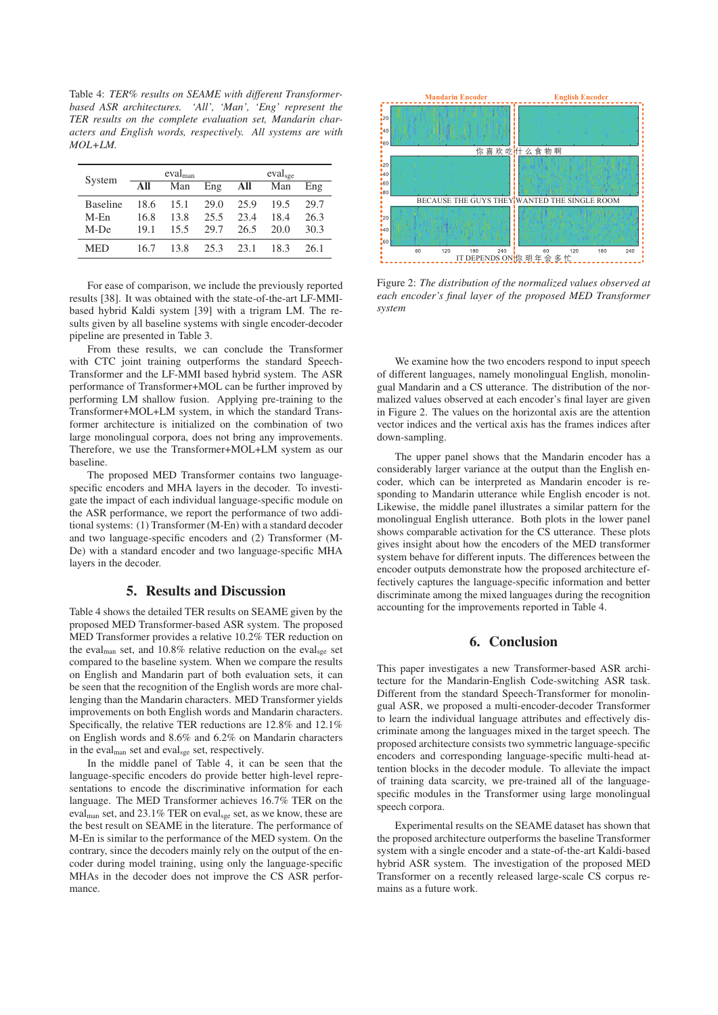Table 4: *TER% results on SEAME with different Transformerbased ASR architectures. 'All', 'Man', 'Eng' represent the TER results on the complete evaluation set, Mandarin characters and English words, respectively. All systems are with MOL+LM.*

| System          |      | $eval_{man}$ |      |      | eval <sub>see</sub> |      |
|-----------------|------|--------------|------|------|---------------------|------|
|                 | All  | Man          | Eng  | All  | Man                 | Eng  |
| <b>Baseline</b> | 18.6 | 15.1         | 29.0 | 25.9 | 19.5                | 29.7 |
| $M-Fn$          | 16.8 | 13.8         | 25.5 | 23.4 | 18.4                | 26.3 |
| M-De            | 19.1 | 15.5         | 29.7 | 26.5 | 20.0                | 30.3 |
| <b>MED</b>      | 16.7 | 13.8         | 25.3 | 23.1 | 18.3                | 26.1 |

For ease of comparison, we include the previously reported results [38]. It was obtained with the state-of-the-art LF-MMIbased hybrid Kaldi system [39] with a trigram LM. The results given by all baseline systems with single encoder-decoder pipeline are presented in Table 3.

From these results, we can conclude the Transformer with CTC joint training outperforms the standard Speech-Transformer and the LF-MMI based hybrid system. The ASR performance of Transformer+MOL can be further improved by performing LM shallow fusion. Applying pre-training to the Transformer+MOL+LM system, in which the standard Transformer architecture is initialized on the combination of two large monolingual corpora, does not bring any improvements. Therefore, we use the Transformer+MOL+LM system as our baseline.

The proposed MED Transformer contains two languagespecific encoders and MHA layers in the decoder. To investigate the impact of each individual language-specific module on the ASR performance, we report the performance of two additional systems: (1) Transformer (M-En) with a standard decoder and two language-specific encoders and (2) Transformer (M-De) with a standard encoder and two language-specific MHA layers in the decoder.

## 5. Results and Discussion

Table 4 shows the detailed TER results on SEAME given by the proposed MED Transformer-based ASR system. The proposed MED Transformer provides a relative 10.2% TER reduction on the eval<sub>man</sub> set, and 10.8% relative reduction on the evalses set compared to the baseline system. When we compare the results on English and Mandarin part of both evaluation sets, it can be seen that the recognition of the English words are more challenging than the Mandarin characters. MED Transformer yields improvements on both English words and Mandarin characters. Specifically, the relative TER reductions are 12.8% and 12.1% on English words and 8.6% and 6.2% on Mandarin characters in the eval<sub>man</sub> set and eval<sub>sge</sub> set, respectively.

In the middle panel of Table 4, it can be seen that the language-specific encoders do provide better high-level representations to encode the discriminative information for each language. The MED Transformer achieves 16.7% TER on the evalman set, and 23.1% TER on evalsge set, as we know, these are the best result on SEAME in the literature. The performance of M-En is similar to the performance of the MED system. On the contrary, since the decoders mainly rely on the output of the encoder during model training, using only the language-specific MHAs in the decoder does not improve the CS ASR performance.



Figure 2: *The distribution of the normalized values observed at each encoder's final layer of the proposed MED Transformer system*

We examine how the two encoders respond to input speech of different languages, namely monolingual English, monolingual Mandarin and a CS utterance. The distribution of the normalized values observed at each encoder's final layer are given in Figure 2. The values on the horizontal axis are the attention vector indices and the vertical axis has the frames indices after down-sampling.

The upper panel shows that the Mandarin encoder has a considerably larger variance at the output than the English encoder, which can be interpreted as Mandarin encoder is responding to Mandarin utterance while English encoder is not. Likewise, the middle panel illustrates a similar pattern for the monolingual English utterance. Both plots in the lower panel shows comparable activation for the CS utterance. These plots gives insight about how the encoders of the MED transformer system behave for different inputs. The differences between the encoder outputs demonstrate how the proposed architecture effectively captures the language-specific information and better discriminate among the mixed languages during the recognition accounting for the improvements reported in Table 4.

## 6. Conclusion

This paper investigates a new Transformer-based ASR architecture for the Mandarin-English Code-switching ASR task. Different from the standard Speech-Transformer for monolingual ASR, we proposed a multi-encoder-decoder Transformer to learn the individual language attributes and effectively discriminate among the languages mixed in the target speech. The proposed architecture consists two symmetric language-specific encoders and corresponding language-specific multi-head attention blocks in the decoder module. To alleviate the impact of training data scarcity, we pre-trained all of the languagespecific modules in the Transformer using large monolingual speech corpora.

Experimental results on the SEAME dataset has shown that the proposed architecture outperforms the baseline Transformer system with a single encoder and a state-of-the-art Kaldi-based hybrid ASR system. The investigation of the proposed MED Transformer on a recently released large-scale CS corpus remains as a future work.